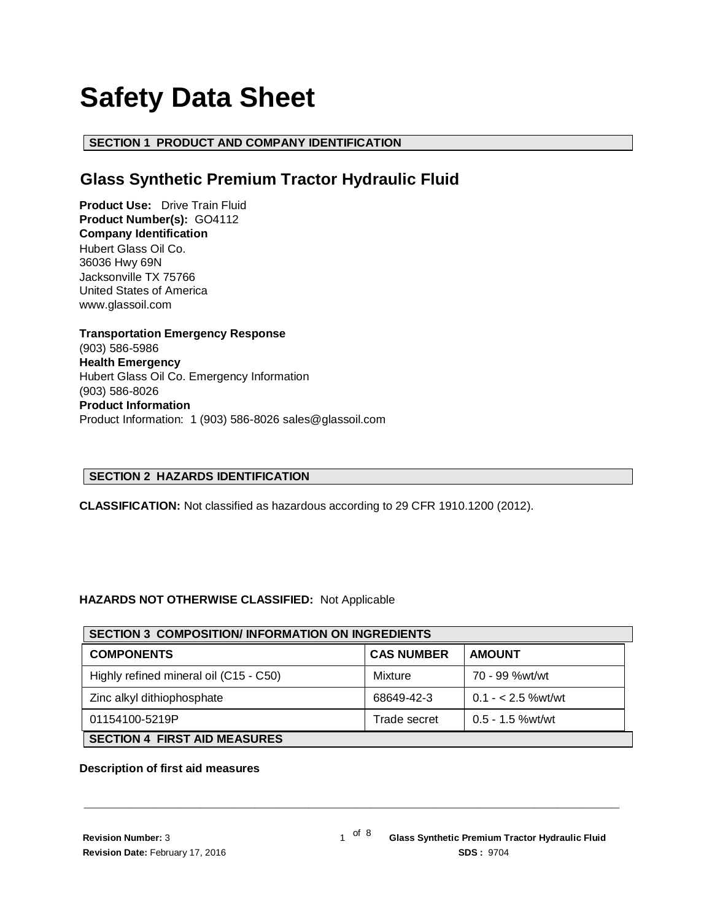# **Safety Data Sheet**

# **SECTION 1 PRODUCT AND COMPANY IDENTIFICATION**

# **Glass Synthetic Premium Tractor Hydraulic Fluid**

**Product Use:** Drive Train Fluid **Product Number(s):** GO4112 **Company Identification** Hubert Glass Oil Co. 36036 Hwy 69N Jacksonville TX 75766 United States of America www.glassoil.com

**Transportation Emergency Response** (903) 586-5986 **Health Emergency** Hubert Glass Oil Co. Emergency Information (903) 586-8026 **Product Information**  Product Information: 1 (903) 586-8026 sales@glassoil.com

# **SECTION 2 HAZARDS IDENTIFICATION**

**CLASSIFICATION:** Not classified as hazardous according to 29 CFR 1910.1200 (2012).

# **HAZARDS NOT OTHERWISE CLASSIFIED:** Not Applicable

| <b>SECTION 3 COMPOSITION/INFORMATION ON INGREDIENTS</b> |                   |                    |  |  |  |
|---------------------------------------------------------|-------------------|--------------------|--|--|--|
| <b>COMPONENTS</b>                                       | <b>CAS NUMBER</b> | <b>AMOUNT</b>      |  |  |  |
| Highly refined mineral oil (C15 - C50)                  | Mixture           | 70 - 99 %wt/wt     |  |  |  |
| Zinc alkyl dithiophosphate                              | 68649-42-3        | $0.1 - 2.5$ %wt/wt |  |  |  |
| 01154100-5219P                                          | Trade secret      | $0.5 - 1.5$ %wt/wt |  |  |  |
| <b>SECTION 4 FIRST AID MEASURES</b>                     |                   |                    |  |  |  |

**\_\_\_\_\_\_\_\_\_\_\_\_\_\_\_\_\_\_\_\_\_\_\_\_\_\_\_\_\_\_\_\_\_\_\_\_\_\_\_\_\_\_\_\_\_\_\_\_\_\_\_\_\_\_\_\_\_\_\_\_\_\_\_\_\_\_\_\_\_**

#### **Description of first aid measures**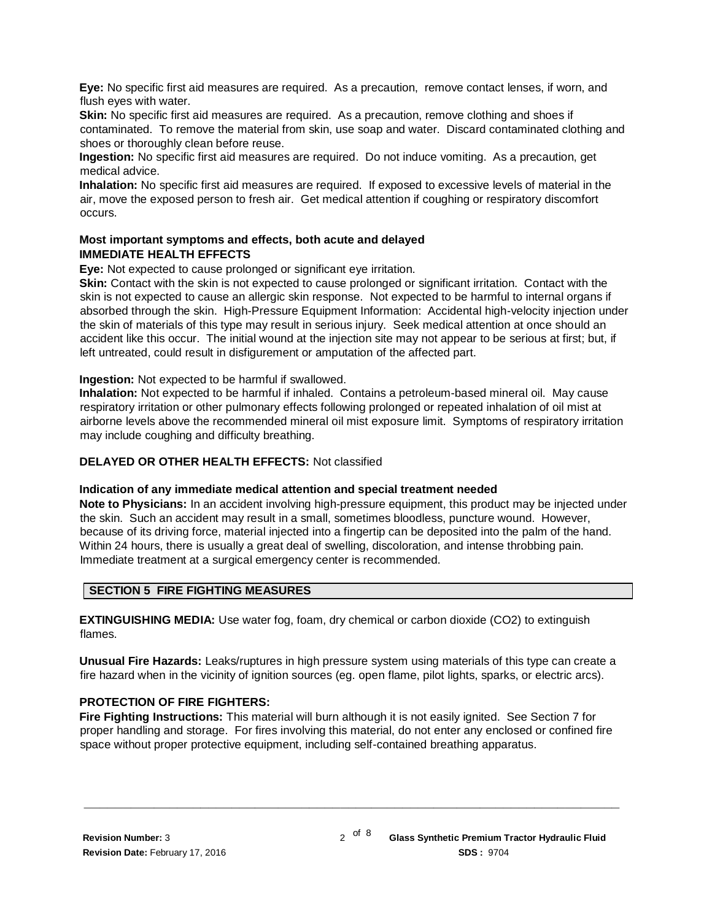**Eye:** No specific first aid measures are required. As a precaution, remove contact lenses, if worn, and flush eyes with water.

**Skin:** No specific first aid measures are required. As a precaution, remove clothing and shoes if contaminated. To remove the material from skin, use soap and water. Discard contaminated clothing and shoes or thoroughly clean before reuse.

**Ingestion:** No specific first aid measures are required. Do not induce vomiting. As a precaution, get medical advice.

**Inhalation:** No specific first aid measures are required. If exposed to excessive levels of material in the air, move the exposed person to fresh air. Get medical attention if coughing or respiratory discomfort occurs.

# **Most important symptoms and effects, both acute and delayed IMMEDIATE HEALTH EFFECTS**

**Eye:** Not expected to cause prolonged or significant eye irritation.

**Skin:** Contact with the skin is not expected to cause prolonged or significant irritation. Contact with the skin is not expected to cause an allergic skin response. Not expected to be harmful to internal organs if absorbed through the skin. High-Pressure Equipment Information: Accidental high-velocity injection under the skin of materials of this type may result in serious injury. Seek medical attention at once should an accident like this occur. The initial wound at the injection site may not appear to be serious at first; but, if left untreated, could result in disfigurement or amputation of the affected part.

**Ingestion:** Not expected to be harmful if swallowed.

**Inhalation:** Not expected to be harmful if inhaled. Contains a petroleum-based mineral oil. May cause respiratory irritation or other pulmonary effects following prolonged or repeated inhalation of oil mist at airborne levels above the recommended mineral oil mist exposure limit. Symptoms of respiratory irritation may include coughing and difficulty breathing.

# **DELAYED OR OTHER HEALTH EFFECTS:** Not classified

#### **Indication of any immediate medical attention and special treatment needed**

**Note to Physicians:** In an accident involving high-pressure equipment, this product may be injected under the skin. Such an accident may result in a small, sometimes bloodless, puncture wound. However, because of its driving force, material injected into a fingertip can be deposited into the palm of the hand. Within 24 hours, there is usually a great deal of swelling, discoloration, and intense throbbing pain. Immediate treatment at a surgical emergency center is recommended.

# **SECTION 5 FIRE FIGHTING MEASURES**

**EXTINGUISHING MEDIA:** Use water fog, foam, dry chemical or carbon dioxide (CO2) to extinguish flames.

**Unusual Fire Hazards:** Leaks/ruptures in high pressure system using materials of this type can create a fire hazard when in the vicinity of ignition sources (eg. open flame, pilot lights, sparks, or electric arcs).

# **PROTECTION OF FIRE FIGHTERS:**

**Fire Fighting Instructions:** This material will burn although it is not easily ignited. See Section 7 for proper handling and storage. For fires involving this material, do not enter any enclosed or confined fire space without proper protective equipment, including self-contained breathing apparatus.

**\_\_\_\_\_\_\_\_\_\_\_\_\_\_\_\_\_\_\_\_\_\_\_\_\_\_\_\_\_\_\_\_\_\_\_\_\_\_\_\_\_\_\_\_\_\_\_\_\_\_\_\_\_\_\_\_\_\_\_\_\_\_\_\_\_\_\_\_\_**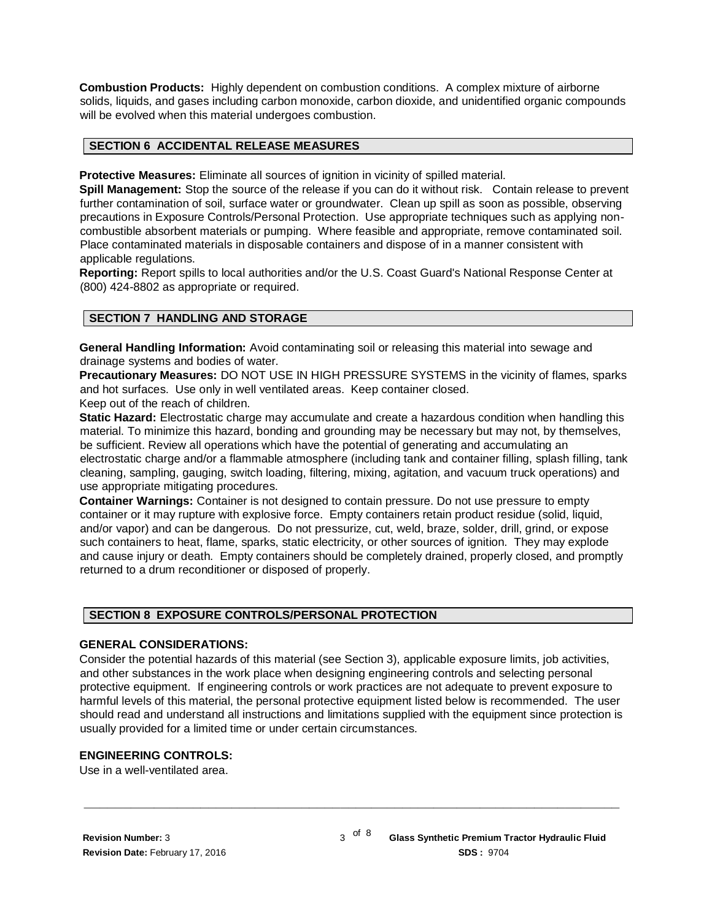**Combustion Products:** Highly dependent on combustion conditions. A complex mixture of airborne solids, liquids, and gases including carbon monoxide, carbon dioxide, and unidentified organic compounds will be evolved when this material undergoes combustion.

#### **SECTION 6 ACCIDENTAL RELEASE MEASURES**

**Protective Measures:** Eliminate all sources of ignition in vicinity of spilled material.

**Spill Management:** Stop the source of the release if you can do it without risk. Contain release to prevent further contamination of soil, surface water or groundwater. Clean up spill as soon as possible, observing precautions in Exposure Controls/Personal Protection. Use appropriate techniques such as applying noncombustible absorbent materials or pumping. Where feasible and appropriate, remove contaminated soil. Place contaminated materials in disposable containers and dispose of in a manner consistent with applicable regulations.

**Reporting:** Report spills to local authorities and/or the U.S. Coast Guard's National Response Center at (800) 424-8802 as appropriate or required.

#### **SECTION 7 HANDLING AND STORAGE**

**General Handling Information:** Avoid contaminating soil or releasing this material into sewage and drainage systems and bodies of water.

**Precautionary Measures:** DO NOT USE IN HIGH PRESSURE SYSTEMS in the vicinity of flames, sparks and hot surfaces. Use only in well ventilated areas. Keep container closed. Keep out of the reach of children.

**Static Hazard:** Electrostatic charge may accumulate and create a hazardous condition when handling this material. To minimize this hazard, bonding and grounding may be necessary but may not, by themselves, be sufficient. Review all operations which have the potential of generating and accumulating an electrostatic charge and/or a flammable atmosphere (including tank and container filling, splash filling, tank cleaning, sampling, gauging, switch loading, filtering, mixing, agitation, and vacuum truck operations) and use appropriate mitigating procedures.

**Container Warnings:** Container is not designed to contain pressure. Do not use pressure to empty container or it may rupture with explosive force. Empty containers retain product residue (solid, liquid, and/or vapor) and can be dangerous. Do not pressurize, cut, weld, braze, solder, drill, grind, or expose such containers to heat, flame, sparks, static electricity, or other sources of ignition. They may explode and cause injury or death. Empty containers should be completely drained, properly closed, and promptly returned to a drum reconditioner or disposed of properly.

# **SECTION 8 EXPOSURE CONTROLS/PERSONAL PROTECTION**

#### **GENERAL CONSIDERATIONS:**

Consider the potential hazards of this material (see Section 3), applicable exposure limits, job activities, and other substances in the work place when designing engineering controls and selecting personal protective equipment. If engineering controls or work practices are not adequate to prevent exposure to harmful levels of this material, the personal protective equipment listed below is recommended. The user should read and understand all instructions and limitations supplied with the equipment since protection is usually provided for a limited time or under certain circumstances.

**\_\_\_\_\_\_\_\_\_\_\_\_\_\_\_\_\_\_\_\_\_\_\_\_\_\_\_\_\_\_\_\_\_\_\_\_\_\_\_\_\_\_\_\_\_\_\_\_\_\_\_\_\_\_\_\_\_\_\_\_\_\_\_\_\_\_\_\_\_**

# **ENGINEERING CONTROLS:**

Use in a well-ventilated area.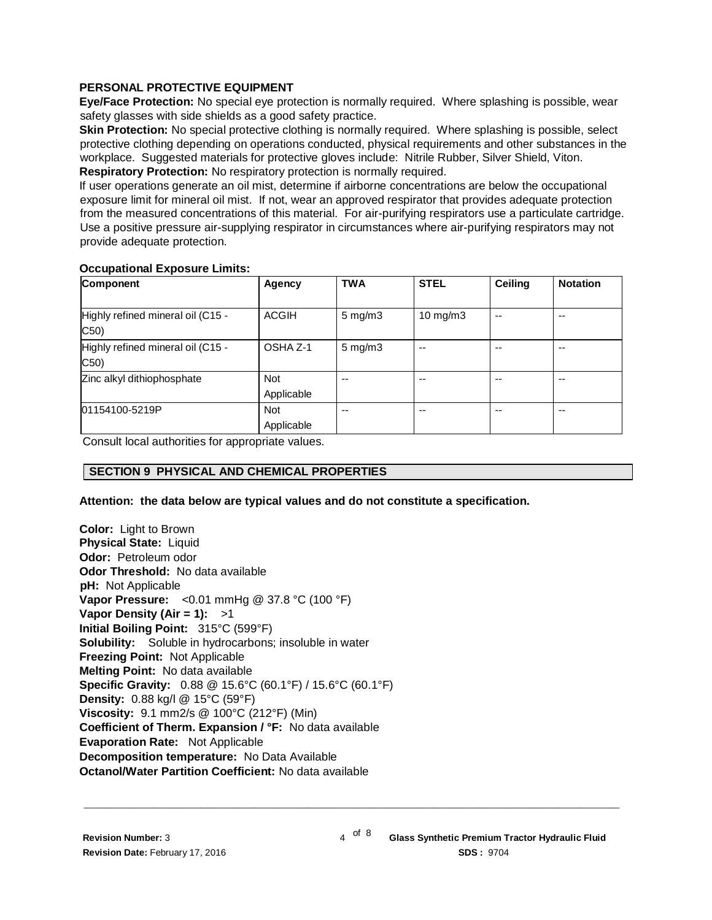# **PERSONAL PROTECTIVE EQUIPMENT**

**Eye/Face Protection:** No special eye protection is normally required. Where splashing is possible, wear safety glasses with side shields as a good safety practice.

**Skin Protection:** No special protective clothing is normally required. Where splashing is possible, select protective clothing depending on operations conducted, physical requirements and other substances in the workplace. Suggested materials for protective gloves include: Nitrile Rubber, Silver Shield, Viton. **Respiratory Protection:** No respiratory protection is normally required.

If user operations generate an oil mist, determine if airborne concentrations are below the occupational exposure limit for mineral oil mist. If not, wear an approved respirator that provides adequate protection from the measured concentrations of this material. For air-purifying respirators use a particulate cartridge. Use a positive pressure air-supplying respirator in circumstances where air-purifying respirators may not provide adequate protection.

# **Occupational Exposure Limits:**

| Component                                 | <b>Agency</b>            | <b>TWA</b>         | <b>STEL</b> | Ceiling | <b>Notation</b> |
|-------------------------------------------|--------------------------|--------------------|-------------|---------|-----------------|
| Highly refined mineral oil (C15 -<br>C50) | <b>ACGIH</b>             | $5 \text{ mg/m}$   | 10 mg/m $3$ | --      | $- -$           |
| Highly refined mineral oil (C15 -<br>C50) | OSHA Z-1                 | $5 \text{ mg/m}$ 3 |             |         | --              |
| Zinc alkyl dithiophosphate                | <b>Not</b><br>Applicable | --                 | --          |         | --              |
| 01154100-5219P                            | <b>Not</b><br>Applicable | --                 | --          | --      | $- -$           |

**\_\_\_\_\_\_\_\_\_\_\_\_\_\_\_\_\_\_\_\_\_\_\_\_\_\_\_\_\_\_\_\_\_\_\_\_\_\_\_\_\_\_\_\_\_\_\_\_\_\_\_\_\_\_\_\_\_\_\_\_\_\_\_\_\_\_\_\_\_**

Consult local authorities for appropriate values.

# **SECTION 9 PHYSICAL AND CHEMICAL PROPERTIES**

# **Attention: the data below are typical values and do not constitute a specification.**

**Color:** Light to Brown **Physical State:** Liquid **Odor:** Petroleum odor **Odor Threshold:** No data available **pH:** Not Applicable **Vapor Pressure:** <0.01 mmHg @ 37.8 °C (100 °F) **Vapor Density (Air = 1):** >1 **Initial Boiling Point:** 315°C (599°F) **Solubility:** Soluble in hydrocarbons; insoluble in water **Freezing Point:** Not Applicable **Melting Point:** No data available **Specific Gravity:** 0.88 @ 15.6°C (60.1°F) / 15.6°C (60.1°F) **Density:** 0.88 kg/l @ 15°C (59°F) **Viscosity:** 9.1 mm2/s @ 100°C (212°F) (Min) **Coefficient of Therm. Expansion / °F:** No data available **Evaporation Rate:** Not Applicable **Decomposition temperature:** No Data Available **Octanol/Water Partition Coefficient:** No data available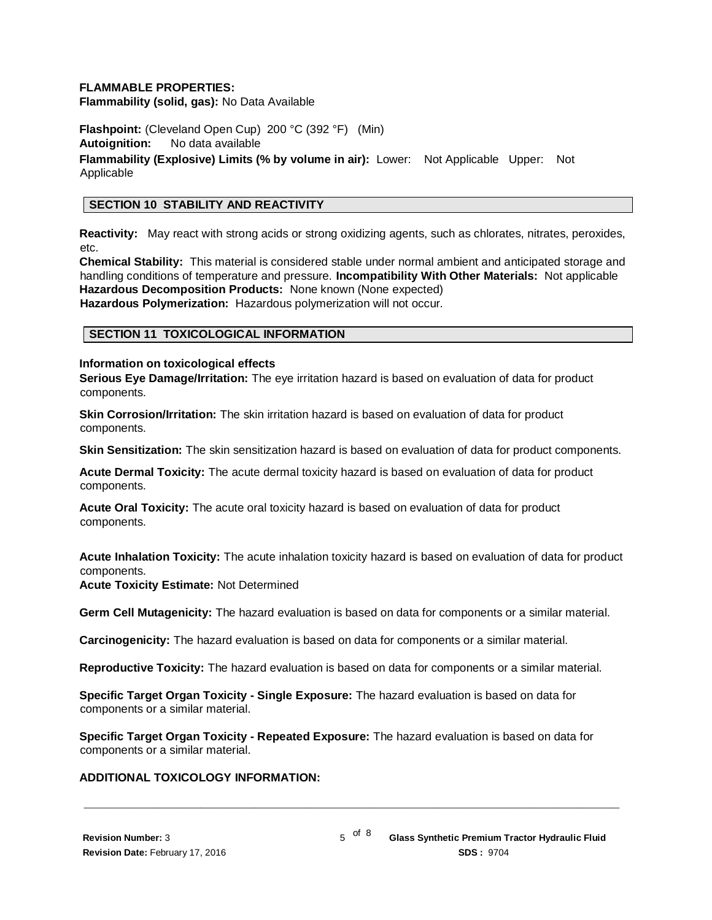### **FLAMMABLE PROPERTIES:**

**Flammability (solid, gas):** No Data Available

**Flashpoint:** (Cleveland Open Cup) 200 °C (392 °F) (Min) **Autoignition:** No data available **Flammability (Explosive) Limits (% by volume in air):** Lower: Not Applicable Upper: Not Applicable

#### **SECTION 10 STABILITY AND REACTIVITY**

**Reactivity:** May react with strong acids or strong oxidizing agents, such as chlorates, nitrates, peroxides, etc.

**Chemical Stability:** This material is considered stable under normal ambient and anticipated storage and handling conditions of temperature and pressure. **Incompatibility With Other Materials:** Not applicable **Hazardous Decomposition Products:** None known (None expected) **Hazardous Polymerization:** Hazardous polymerization will not occur.

#### **SECTION 11 TOXICOLOGICAL INFORMATION**

#### **Information on toxicological effects**

**Serious Eye Damage/Irritation:** The eye irritation hazard is based on evaluation of data for product components.

**Skin Corrosion/Irritation:** The skin irritation hazard is based on evaluation of data for product components.

**Skin Sensitization:** The skin sensitization hazard is based on evaluation of data for product components.

**Acute Dermal Toxicity:** The acute dermal toxicity hazard is based on evaluation of data for product components.

**Acute Oral Toxicity:** The acute oral toxicity hazard is based on evaluation of data for product components.

**Acute Inhalation Toxicity:** The acute inhalation toxicity hazard is based on evaluation of data for product components.

**Acute Toxicity Estimate:** Not Determined

**Germ Cell Mutagenicity:** The hazard evaluation is based on data for components or a similar material.

**Carcinogenicity:** The hazard evaluation is based on data for components or a similar material.

**Reproductive Toxicity:** The hazard evaluation is based on data for components or a similar material.

**Specific Target Organ Toxicity - Single Exposure:** The hazard evaluation is based on data for components or a similar material.

**Specific Target Organ Toxicity - Repeated Exposure:** The hazard evaluation is based on data for components or a similar material.

**\_\_\_\_\_\_\_\_\_\_\_\_\_\_\_\_\_\_\_\_\_\_\_\_\_\_\_\_\_\_\_\_\_\_\_\_\_\_\_\_\_\_\_\_\_\_\_\_\_\_\_\_\_\_\_\_\_\_\_\_\_\_\_\_\_\_\_\_\_**

#### **ADDITIONAL TOXICOLOGY INFORMATION:**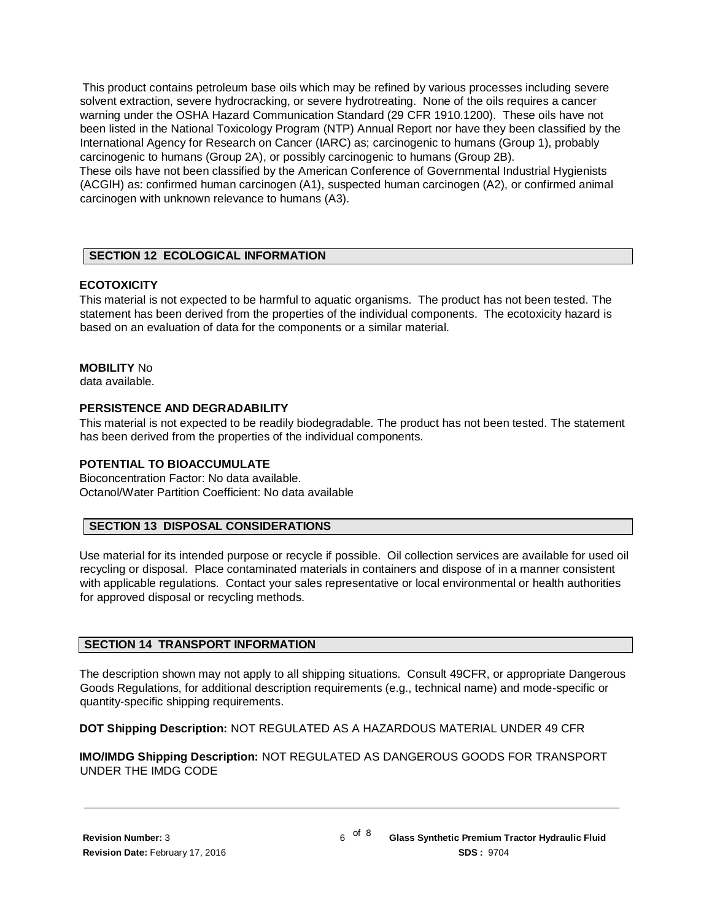This product contains petroleum base oils which may be refined by various processes including severe solvent extraction, severe hydrocracking, or severe hydrotreating. None of the oils requires a cancer warning under the OSHA Hazard Communication Standard (29 CFR 1910.1200). These oils have not been listed in the National Toxicology Program (NTP) Annual Report nor have they been classified by the International Agency for Research on Cancer (IARC) as; carcinogenic to humans (Group 1), probably carcinogenic to humans (Group 2A), or possibly carcinogenic to humans (Group 2B).

These oils have not been classified by the American Conference of Governmental Industrial Hygienists (ACGIH) as: confirmed human carcinogen (A1), suspected human carcinogen (A2), or confirmed animal carcinogen with unknown relevance to humans (A3).

# **SECTION 12 ECOLOGICAL INFORMATION**

# **ECOTOXICITY**

This material is not expected to be harmful to aquatic organisms. The product has not been tested. The statement has been derived from the properties of the individual components. The ecotoxicity hazard is based on an evaluation of data for the components or a similar material.

# **MOBILITY** No

data available.

# **PERSISTENCE AND DEGRADABILITY**

This material is not expected to be readily biodegradable. The product has not been tested. The statement has been derived from the properties of the individual components.

# **POTENTIAL TO BIOACCUMULATE**

Bioconcentration Factor: No data available. Octanol/Water Partition Coefficient: No data available

# **SECTION 13 DISPOSAL CONSIDERATIONS**

Use material for its intended purpose or recycle if possible. Oil collection services are available for used oil recycling or disposal. Place contaminated materials in containers and dispose of in a manner consistent with applicable regulations. Contact your sales representative or local environmental or health authorities for approved disposal or recycling methods.

# **SECTION 14 TRANSPORT INFORMATION**

The description shown may not apply to all shipping situations. Consult 49CFR, or appropriate Dangerous Goods Regulations, for additional description requirements (e.g., technical name) and mode-specific or quantity-specific shipping requirements.

**DOT Shipping Description:** NOT REGULATED AS A HAZARDOUS MATERIAL UNDER 49 CFR

**IMO/IMDG Shipping Description:** NOT REGULATED AS DANGEROUS GOODS FOR TRANSPORT UNDER THE IMDG CODE

**\_\_\_\_\_\_\_\_\_\_\_\_\_\_\_\_\_\_\_\_\_\_\_\_\_\_\_\_\_\_\_\_\_\_\_\_\_\_\_\_\_\_\_\_\_\_\_\_\_\_\_\_\_\_\_\_\_\_\_\_\_\_\_\_\_\_\_\_\_**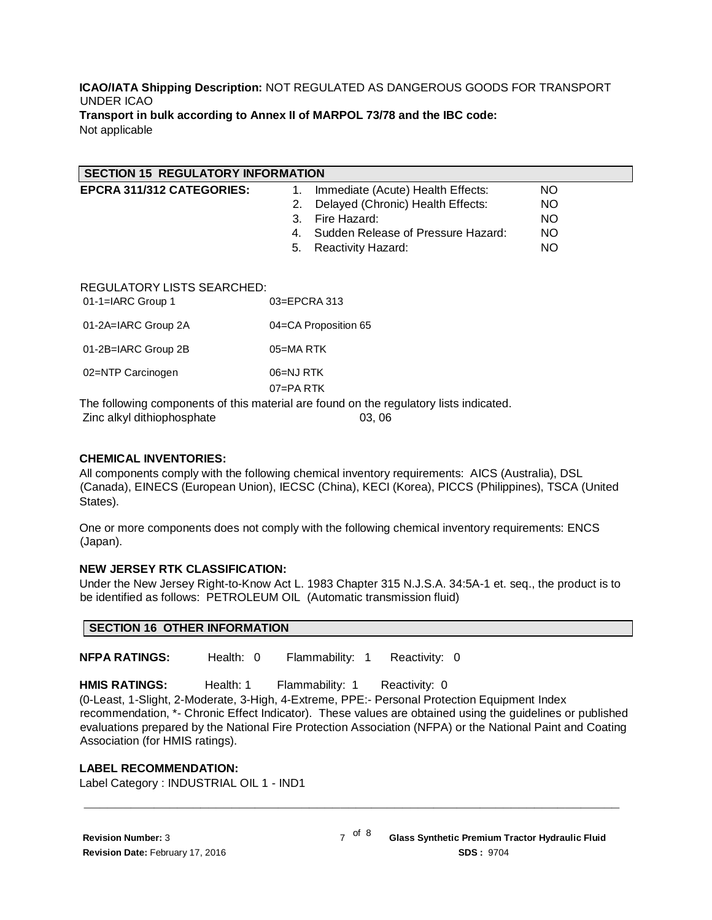#### **ICAO/IATA Shipping Description:** NOT REGULATED AS DANGEROUS GOODS FOR TRANSPORT UNDER ICAO **Transport in bulk according to Annex II of MARPOL 73/78 and the IBC code:** Not applicable

| <b>SECTION 15 REGULATORY INFORMATION</b>                               |                                          |           |  |  |  |
|------------------------------------------------------------------------|------------------------------------------|-----------|--|--|--|
| EPCRA 311/312 CATEGORIES:                                              | Immediate (Acute) Health Effects:<br>1.  | <b>NO</b> |  |  |  |
|                                                                        | Delayed (Chronic) Health Effects:<br>2.  | <b>NO</b> |  |  |  |
|                                                                        | Fire Hazard:<br>3.                       | <b>NO</b> |  |  |  |
|                                                                        | Sudden Release of Pressure Hazard:<br>4. | <b>NO</b> |  |  |  |
|                                                                        | 5.<br>Reactivity Hazard:                 | <b>NO</b> |  |  |  |
|                                                                        |                                          |           |  |  |  |
| <b>REGULATORY LISTS SEARCHED:</b><br>01-1=IARC Group 1<br>03=EPCRA 313 |                                          |           |  |  |  |
| 01-2A=IARC Group 2A                                                    | 04=CA Proposition 65                     |           |  |  |  |
| 01-2B=IARC Group 2B                                                    | 05=MARTK                                 |           |  |  |  |
| 02=NTP Carcinogen                                                      | 06=NJ RTK<br>$07 = PA$ RTK               |           |  |  |  |
|                                                                        |                                          |           |  |  |  |

The following components of this material are found on the regulatory lists indicated. Zinc alkyl dithiophosphate 03, 06

#### **CHEMICAL INVENTORIES:**

All components comply with the following chemical inventory requirements: AICS (Australia), DSL (Canada), EINECS (European Union), IECSC (China), KECI (Korea), PICCS (Philippines), TSCA (United States).

One or more components does not comply with the following chemical inventory requirements: ENCS (Japan).

# **NEW JERSEY RTK CLASSIFICATION:**

Under the New Jersey Right-to-Know Act L. 1983 Chapter 315 N.J.S.A. 34:5A-1 et. seq., the product is to be identified as follows: PETROLEUM OIL (Automatic transmission fluid)

**NFPA RATINGS:** Health: 0 Flammability: 1 Reactivity: 0

**HMIS RATINGS:** Health: 1 Flammability: 1 Reactivity: 0

(0-Least, 1-Slight, 2-Moderate, 3-High, 4-Extreme, PPE:- Personal Protection Equipment Index recommendation, \*- Chronic Effect Indicator). These values are obtained using the guidelines or published evaluations prepared by the National Fire Protection Association (NFPA) or the National Paint and Coating Association (for HMIS ratings).

**\_\_\_\_\_\_\_\_\_\_\_\_\_\_\_\_\_\_\_\_\_\_\_\_\_\_\_\_\_\_\_\_\_\_\_\_\_\_\_\_\_\_\_\_\_\_\_\_\_\_\_\_\_\_\_\_\_\_\_\_\_\_\_\_\_\_\_\_\_**

#### **LABEL RECOMMENDATION:**

Label Category : INDUSTRIAL OIL 1 - IND1